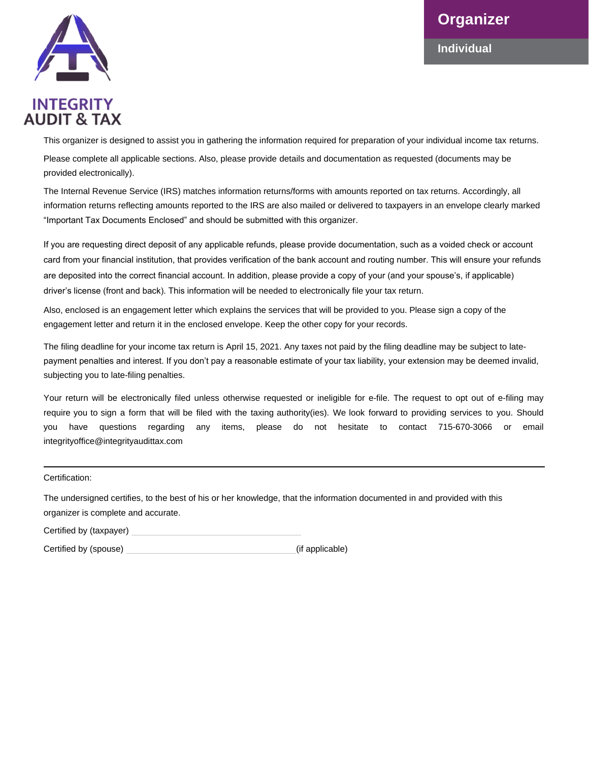**Individual**



**AUDIT & TAX** 

This organizer is designed to assist you in gathering the information required for preparation of your individual income tax returns. Please complete all applicable sections. Also, please provide details and documentation as requested (documents may be provided electronically).

The Internal Revenue Service (IRS) matches information returns/forms with amounts reported on tax returns. Accordingly, all information returns reflecting amounts reported to the IRS are also mailed or delivered to taxpayers in an envelope clearly marked "Important Tax Documents Enclosed" and should be submitted with this organizer.

If you are requesting direct deposit of any applicable refunds, please provide documentation, such as a voided check or account card from your financial institution, that provides verification of the bank account and routing number. This will ensure your refunds are deposited into the correct financial account. In addition, please provide a copy of your (and your spouse's, if applicable) driver's license (front and back). This information will be needed to electronically file your tax return.

Also, enclosed is an engagement letter which explains the services that will be provided to you. Please sign a copy of the engagement letter and return it in the enclosed envelope. Keep the other copy for your records.

The filing deadline for your income tax return is April 15, 2021. Any taxes not paid by the filing deadline may be subject to latepayment penalties and interest. If you don't pay a reasonable estimate of your tax liability, your extension may be deemed invalid, subjecting you to late-filing penalties.

Your return will be electronically filed unless otherwise requested or ineligible for e-file. The request to opt out of e-filing may require you to sign a form that will be filed with the taxing authority(ies). We look forward to providing services to you. Should you have questions regarding any items, please do not hesitate to contact 715-670-3066 or email integrityoffice@integrityaudittax.com

Certification:

The undersigned certifies, to the best of his or her knowledge, that the information documented in and provided with this organizer is complete and accurate.

Certified by (taxpayer)

Certified by (spouse) (if applicable)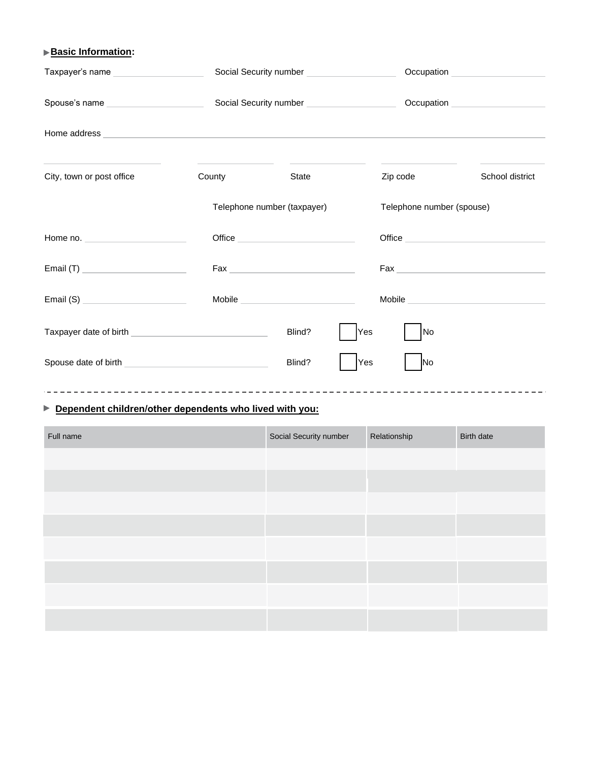## **Basic Information:**

| Taxpayer's name                        | Social Security number ________________________          |        |     | Occupation <u>example and the set of the set of the set of the set of the set of the set of the set of the set of the set of the set of the set of the set of the set of the set of the set of the set of the set of the set of </u> |                 |  |
|----------------------------------------|----------------------------------------------------------|--------|-----|--------------------------------------------------------------------------------------------------------------------------------------------------------------------------------------------------------------------------------------|-----------------|--|
| Spouse's name ________________________ | Social Security number _____________________             |        |     |                                                                                                                                                                                                                                      |                 |  |
|                                        |                                                          |        |     |                                                                                                                                                                                                                                      |                 |  |
| City, town or post office              | County                                                   | State  |     | Zip code                                                                                                                                                                                                                             | School district |  |
|                                        | Telephone number (taxpayer)<br>Telephone number (spouse) |        |     |                                                                                                                                                                                                                                      |                 |  |
|                                        |                                                          |        |     |                                                                                                                                                                                                                                      |                 |  |
|                                        |                                                          |        |     |                                                                                                                                                                                                                                      |                 |  |
|                                        |                                                          | Mobile |     |                                                                                                                                                                                                                                      |                 |  |
|                                        |                                                          | Blind? | Yes | lNo                                                                                                                                                                                                                                  |                 |  |
|                                        |                                                          | Blind? | Yes | INo                                                                                                                                                                                                                                  |                 |  |

## **Dependent children/other dependents who lived with you:**

| Full name | Social Security number | Relationship | Birth date |
|-----------|------------------------|--------------|------------|
|           |                        |              |            |
|           |                        |              |            |
|           |                        |              |            |
|           |                        |              |            |
|           |                        |              |            |
|           |                        |              |            |
|           |                        |              |            |
|           |                        |              |            |